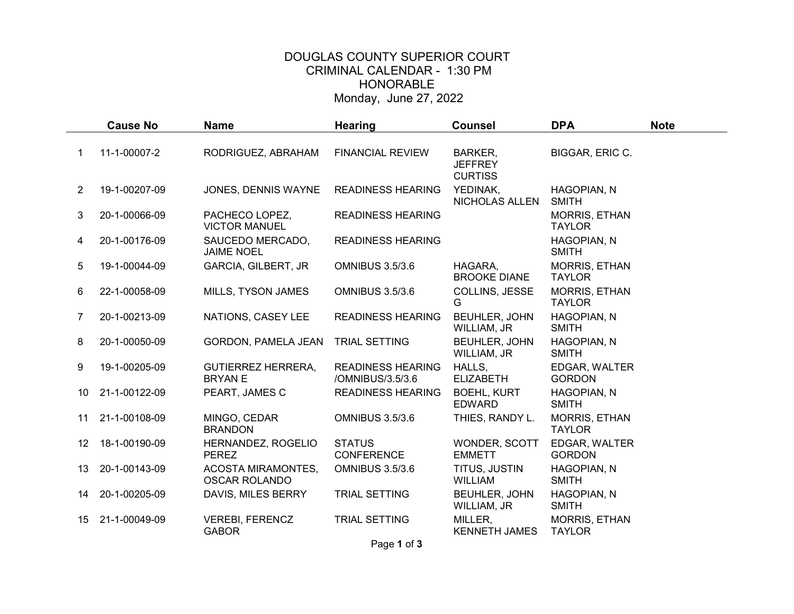## DOUGLAS COUNTY SUPERIOR COURT CRIMINAL CALENDAR - 1:30 PM HONORABLE Monday, June 27, 2022

|    | <b>Cause No</b> | <b>Name</b>                                       | <b>Hearing</b>                               | <b>Counsel</b>                              | <b>DPA</b>                            | <b>Note</b> |
|----|-----------------|---------------------------------------------------|----------------------------------------------|---------------------------------------------|---------------------------------------|-------------|
|    | 11-1-00007-2    | RODRIGUEZ, ABRAHAM                                | <b>FINANCIAL REVIEW</b>                      | BARKER,<br><b>JEFFREY</b><br><b>CURTISS</b> | BIGGAR, ERIC C.                       |             |
| 2  | 19-1-00207-09   | JONES, DENNIS WAYNE                               | <b>READINESS HEARING</b>                     | YEDINAK,<br>NICHOLAS ALLEN                  | HAGOPIAN, N<br><b>SMITH</b>           |             |
| 3  | 20-1-00066-09   | PACHECO LOPEZ,<br><b>VICTOR MANUEL</b>            | <b>READINESS HEARING</b>                     |                                             | MORRIS, ETHAN<br><b>TAYLOR</b>        |             |
| 4  | 20-1-00176-09   | SAUCEDO MERCADO,<br><b>JAIME NOEL</b>             | <b>READINESS HEARING</b>                     |                                             | HAGOPIAN, N<br><b>SMITH</b>           |             |
| 5  | 19-1-00044-09   | GARCIA, GILBERT, JR                               | <b>OMNIBUS 3.5/3.6</b>                       | HAGARA,<br><b>BROOKE DIANE</b>              | <b>MORRIS, ETHAN</b><br><b>TAYLOR</b> |             |
| 6  | 22-1-00058-09   | MILLS, TYSON JAMES                                | <b>OMNIBUS 3.5/3.6</b>                       | COLLINS, JESSE<br>G                         | MORRIS, ETHAN<br><b>TAYLOR</b>        |             |
| 7  | 20-1-00213-09   | NATIONS, CASEY LEE                                | <b>READINESS HEARING</b>                     | BEUHLER, JOHN<br>WILLIAM, JR                | HAGOPIAN, N<br><b>SMITH</b>           |             |
| 8  | 20-1-00050-09   | GORDON, PAMELA JEAN                               | <b>TRIAL SETTING</b>                         | BEUHLER, JOHN<br>WILLIAM, JR                | HAGOPIAN, N<br><b>SMITH</b>           |             |
| 9  | 19-1-00205-09   | <b>GUTIERREZ HERRERA,</b><br><b>BRYAN E</b>       | <b>READINESS HEARING</b><br>/OMNIBUS/3.5/3.6 | HALLS,<br><b>ELIZABETH</b>                  | EDGAR, WALTER<br><b>GORDON</b>        |             |
| 10 | 21-1-00122-09   | PEART, JAMES C                                    | <b>READINESS HEARING</b>                     | <b>BOEHL, KURT</b><br><b>EDWARD</b>         | HAGOPIAN, N<br><b>SMITH</b>           |             |
| 11 | 21-1-00108-09   | MINGO, CEDAR<br><b>BRANDON</b>                    | <b>OMNIBUS 3.5/3.6</b>                       | THIES, RANDY L.                             | <b>MORRIS, ETHAN</b><br><b>TAYLOR</b> |             |
| 12 | 18-1-00190-09   | HERNANDEZ, ROGELIO<br><b>PEREZ</b>                | <b>STATUS</b><br><b>CONFERENCE</b>           | WONDER, SCOTT<br><b>EMMETT</b>              | EDGAR, WALTER<br><b>GORDON</b>        |             |
| 13 | 20-1-00143-09   | <b>ACOSTA MIRAMONTES,</b><br><b>OSCAR ROLANDO</b> | <b>OMNIBUS 3.5/3.6</b>                       | TITUS, JUSTIN<br><b>WILLIAM</b>             | HAGOPIAN, N<br><b>SMITH</b>           |             |
| 14 | 20-1-00205-09   | DAVIS, MILES BERRY                                | <b>TRIAL SETTING</b>                         | <b>BEUHLER, JOHN</b><br>WILLIAM, JR         | HAGOPIAN, N<br><b>SMITH</b>           |             |
| 15 | 21-1-00049-09   | <b>VEREBI, FERENCZ</b><br><b>GABOR</b>            | TRIAL SETTING                                | MILLER,<br><b>KENNETH JAMES</b>             | MORRIS, ETHAN<br><b>TAYLOR</b>        |             |

Page 1 of 3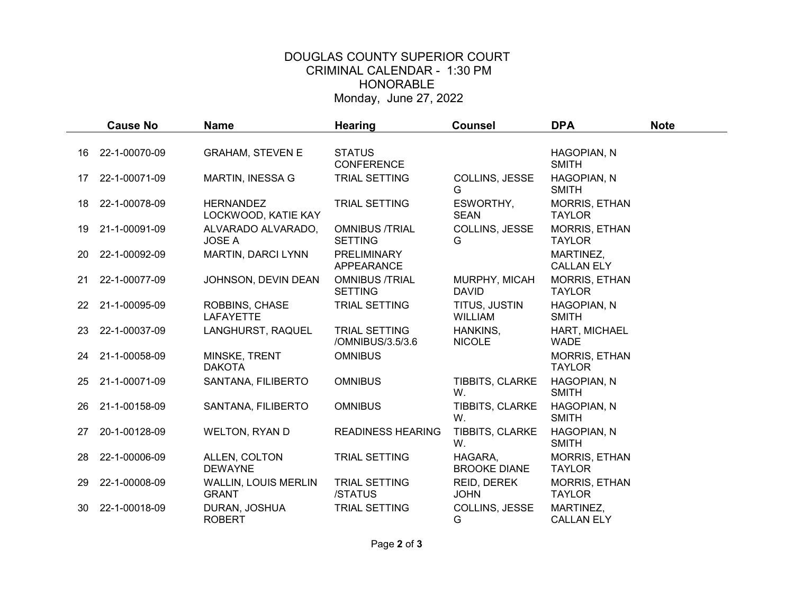## DOUGLAS COUNTY SUPERIOR COURT CRIMINAL CALENDAR - 1:30 PM HONORABLE Monday, June 27, 2022

|    | <b>Cause No</b> | <b>Name</b>                                 | <b>Hearing</b>                           | <b>Counsel</b>                  | <b>DPA</b>                            | <b>Note</b> |
|----|-----------------|---------------------------------------------|------------------------------------------|---------------------------------|---------------------------------------|-------------|
|    |                 |                                             |                                          |                                 |                                       |             |
| 16 | 22-1-00070-09   | <b>GRAHAM, STEVEN E</b>                     | <b>STATUS</b><br><b>CONFERENCE</b>       |                                 | HAGOPIAN, N<br><b>SMITH</b>           |             |
| 17 | 22-1-00071-09   | <b>MARTIN, INESSA G</b>                     | TRIAL SETTING                            | COLLINS, JESSE<br>G             | HAGOPIAN, N<br><b>SMITH</b>           |             |
| 18 | 22-1-00078-09   | <b>HERNANDEZ</b><br>LOCKWOOD, KATIE KAY     | TRIAL SETTING                            | ESWORTHY,<br><b>SEAN</b>        | <b>MORRIS, ETHAN</b><br><b>TAYLOR</b> |             |
| 19 | 21-1-00091-09   | ALVARADO ALVARADO,<br><b>JOSE A</b>         | <b>OMNIBUS /TRIAL</b><br><b>SETTING</b>  | COLLINS, JESSE<br>G             | MORRIS, ETHAN<br><b>TAYLOR</b>        |             |
| 20 | 22-1-00092-09   | MARTIN, DARCI LYNN                          | PRELIMINARY<br>APPEARANCE                |                                 | MARTINEZ,<br><b>CALLAN ELY</b>        |             |
| 21 | 22-1-00077-09   | JOHNSON, DEVIN DEAN                         | <b>OMNIBUS /TRIAL</b><br><b>SETTING</b>  | MURPHY, MICAH<br><b>DAVID</b>   | MORRIS, ETHAN<br><b>TAYLOR</b>        |             |
| 22 | 21-1-00095-09   | ROBBINS, CHASE<br><b>LAFAYETTE</b>          | <b>TRIAL SETTING</b>                     | TITUS, JUSTIN<br><b>WILLIAM</b> | HAGOPIAN, N<br><b>SMITH</b>           |             |
| 23 | 22-1-00037-09   | LANGHURST, RAQUEL                           | <b>TRIAL SETTING</b><br>/OMNIBUS/3.5/3.6 | HANKINS,<br><b>NICOLE</b>       | HART, MICHAEL<br><b>WADE</b>          |             |
| 24 | 21-1-00058-09   | MINSKE, TRENT<br><b>DAKOTA</b>              | <b>OMNIBUS</b>                           |                                 | <b>MORRIS, ETHAN</b><br><b>TAYLOR</b> |             |
| 25 | 21-1-00071-09   | SANTANA, FILIBERTO                          | <b>OMNIBUS</b>                           | TIBBITS, CLARKE<br>W.           | HAGOPIAN, N<br><b>SMITH</b>           |             |
| 26 | 21-1-00158-09   | SANTANA, FILIBERTO                          | <b>OMNIBUS</b>                           | TIBBITS, CLARKE<br>W.           | HAGOPIAN, N<br><b>SMITH</b>           |             |
| 27 | 20-1-00128-09   | <b>WELTON, RYAN D</b>                       | <b>READINESS HEARING</b>                 | TIBBITS, CLARKE<br>W.           | <b>HAGOPIAN, N</b><br><b>SMITH</b>    |             |
| 28 | 22-1-00006-09   | ALLEN, COLTON<br><b>DEWAYNE</b>             | TRIAL SETTING                            | HAGARA,<br><b>BROOKE DIANE</b>  | MORRIS, ETHAN<br><b>TAYLOR</b>        |             |
| 29 | 22-1-00008-09   | <b>WALLIN, LOUIS MERLIN</b><br><b>GRANT</b> | TRIAL SETTING<br>/STATUS                 | REID, DEREK<br><b>JOHN</b>      | <b>MORRIS, ETHAN</b><br><b>TAYLOR</b> |             |
| 30 | 22-1-00018-09   | DURAN, JOSHUA<br><b>ROBERT</b>              | TRIAL SETTING                            | COLLINS, JESSE<br>G             | MARTINEZ,<br><b>CALLAN ELY</b>        |             |